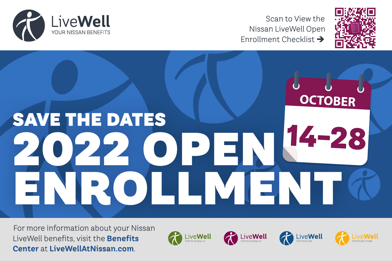

Scan to View the Nissan LiveWell Open Enrollment Checklist >



# **OCTOBER** SAVE THE DATES **14-28** 2022 OPEN ENROLLMENT

For more information about your Nissan LiveWell benefits, visit the **Benefits Center** at **LiveWellAtNissan.com**.

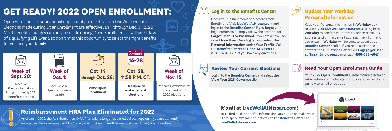Open Enrollment is your annual opportunity to elect Nissan LiveWell benefits. Elections made during Open Enrollment are effective Jan 1. through Dec. 31, 2022. Most benefits changes can only be made during Open Enrollment or within 31 days of a qualifying Life Event, so don't miss this opportunity to select the right benefits for you and your family!

## **GET READY! 2022 OPEN ENROLLMENT:**

### **It's all at LiveWellAtNissan.com!**

You'll find all the benefits information you need and make your 2022 Open Enrollment elections on the **Benefits Center** at **LiveWellatNissan.com**.

#### **Log in to the Benefits Center**

Check your login information before Open Enrollment! Visit **LiveWellAtNissan.com** and log in to the **Benefits Cente**r. If you forgot your login credentials, simply follow the prompts for **Forgot User ID or Password**. If you are a new user, select **New User**. Once logged in, confirm the **Personal Information** under **Your Profile**. Call the **Benefits Center** at **1-833-4LIVEWELL** (1-833-454-8393) if you have any questions.

#### **Update Your Workday Personal Information**

Keep your Personal Information in **Workday** upto-date. Visit **LiveWellAtNissan.com** and log in to **Workday** to confirm your primary address, mailing address, and primary email address. The information you enter in **Workday** will be used to update your **Benefits Center** profile. If you need assistance, contact the **HR Service Center** via **Engage@Nissan** at **NissanEmployee.com** or call **1-866-599-4647**.



As of Jan. 1, 2022, the Reimbursement HRA Plan will no longer be a medical plan option. If you are currently enrolled in the Reimbursement HRA Plan, you must elect another medical plan during Open Enrollment.

#### **Reimbursement HRA Plan Eliminated for 2022**

#### **Review Your Current Elections**

Log in to the **Benefits Center**, and select the **View Your 2021 Coverage** tile.

#### **Read Your Open Enrollment Guide**

Your **2022 Open Enrollment Guide** includes detailed information about changes for 2022 and instructions on how to enroll or opt out.